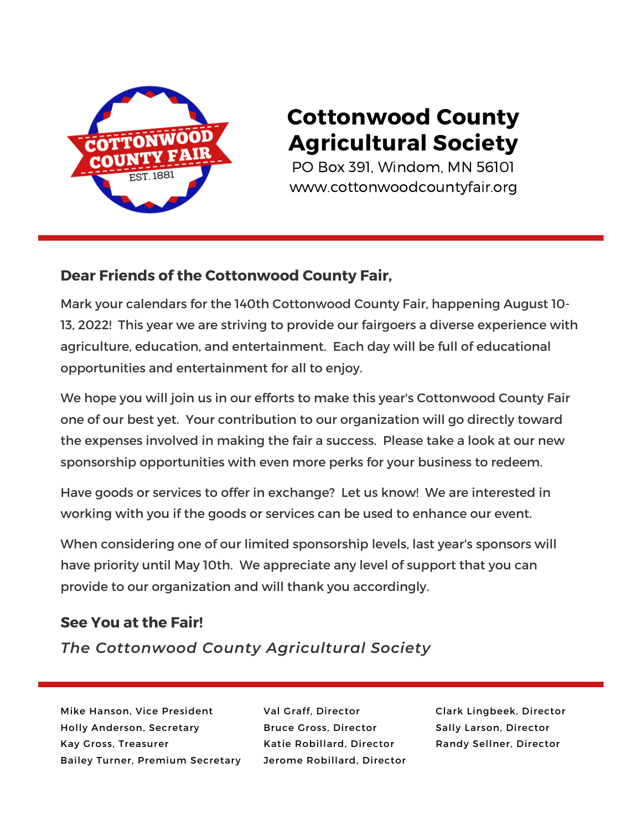

## **Cottonwood County Agricultural Society**

PO Box 391, Windom, MN 56101 www.cottonwoodcountyfair.org

#### **Dear Friends of the Cottonwood County Fair,**

Mark your calendars for the 140th Cottonwood County Fair, happening August 10- 13, 2022! This year we are striving to provide our fairgoers a diverse experience with agriculture, education, and entertainment. Each day will be full of educational opportunities and entertainment for all to enjoy.

We hope you will join us in our efforts to make this year's Cottonwood County Fair one of our best yet. Your contribution to our organization will go directly toward the expenses involved in making the fair a success. Please take a look at our new sponsorship opportunities with even more perks for your business to redeem.

Have goods or services to offer in exchange? Let us know! We are interested in working with you if the goods or services can be used to enhance our event.

When considering one of our limited sponsorship levels, last year's sponsors will have priority until May 10th. We appreciate any level of support that you can provide to our organization and will thank you accordingly.

#### **See You at the Fair!**

*The Cottonwood County Agricultural Society*

Mike Hanson, Vice President Holly Anderson, Secretary Kay Gross, Treasurer Bailey Turner, Premium Secretary Val Graff, Director Bruce Gross, Director Katie Robillard, Director Jerome Robillard, Director

Clark Lingbeek, Director Sally Larson, Director Randy Sellner, Director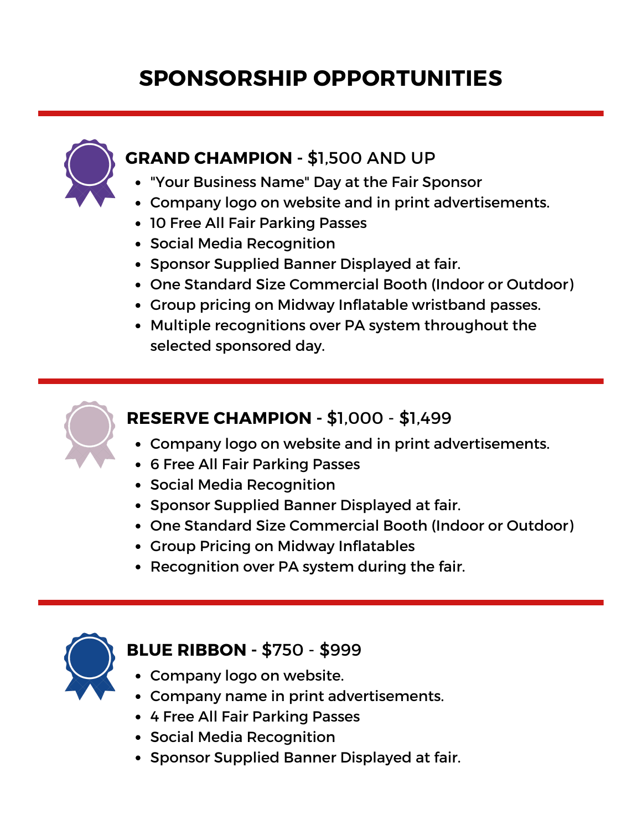# **SPONSORSHIP OPPORTUNITIES**



### **GRAND CHAMPION -** \$1,500 AND UP

- "Your Business Name" Day at the Fair Sponsor
- Company logo on website and in print advertisements.
- 10 Free All Fair Parking Passes
- **Social Media Recognition**
- Sponsor Supplied Banner Displayed at fair.
- One Standard Size Commercial Booth (Indoor or Outdoor)
- Group pricing on Midway Inflatable wristband passes.
- Multiple recognitions over PA system throughout the selected sponsored day.



### **RESERVE CHAMPION -** \$1,000 - \$1,499

- Company logo on website and in print advertisements.
- 6 Free All Fair Parking Passes
- **Social Media Recognition**
- Sponsor Supplied Banner Displayed at fair.
- One Standard Size Commercial Booth (Indoor or Outdoor)
- Group Pricing on Midway Inflatables
- Recognition over PA system during the fair.



#### **BLUE RIBBON -** \$750 - \$999

- Company logo on website.
- Company name in print advertisements.
- 4 Free All Fair Parking Passes
- Social Media Recognition
- Sponsor Supplied Banner Displayed at fair.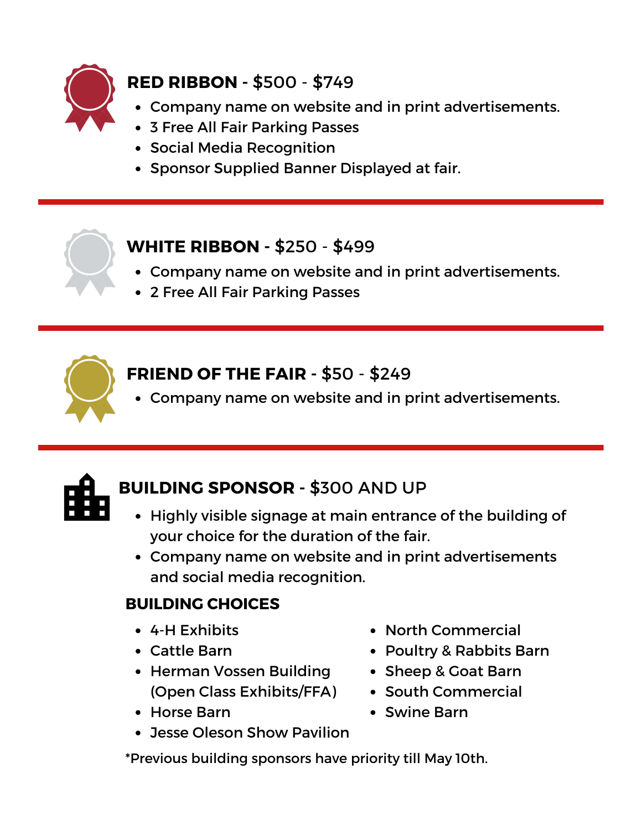

## **RED RIBBON -** \$500 - \$749

- Company name on website and in print advertisements.
- 3 Free All Fair Parking Passes
- Social Media Recognition
- Sponsor Supplied Banner Displayed at fair.

### **WHITE RIBBON -** \$250 - \$499

- Company name on website and in print advertisements.
- 2 Free All Fair Parking Passes



## **FRIEND OF THE FAIR -** \$50 - \$249

Company name on website and in print advertisements.



## **BUILDING SPONSOR -** \$300 AND UP

- Highly visible signage at main entrance of the building of your choice for the duration of the fair.
- Company name on website and in print advertisements and social media recognition.

## **BUILDING CHOICES**

- 4-H Exhibits
- Cattle Barn
- **Herman Vossen Building** (Open Class Exhibits/FFA)
- Horse Barn
- Poultry & Rabbits Barn Sheep & Goat Barn
	- South Commercial

North Commercial

- Swine Barn
- Jesse Oleson Show Pavilion

\*Previous building sponsors have priority till May 10th.